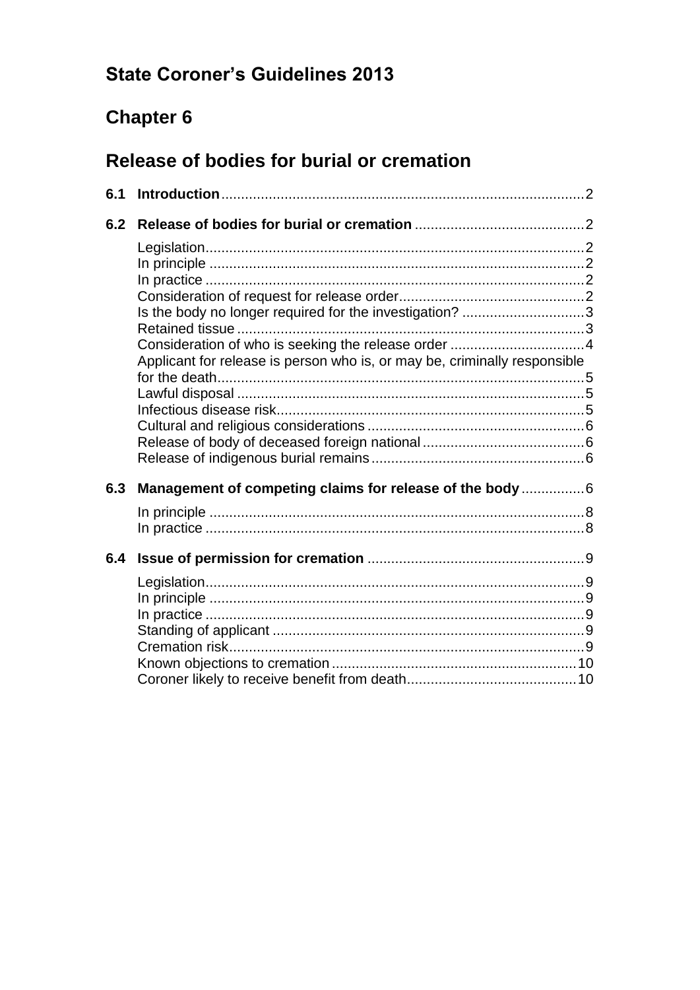# **State Coroner's Guidelines 2013**

# **Chapter 6**

# Release of bodies for burial or cremation

| 6.1 |                                                                           |  |
|-----|---------------------------------------------------------------------------|--|
| 6.2 |                                                                           |  |
|     |                                                                           |  |
|     |                                                                           |  |
|     |                                                                           |  |
|     | Is the body no longer required for the investigation? 3                   |  |
|     |                                                                           |  |
|     | Applicant for release is person who is, or may be, criminally responsible |  |
|     |                                                                           |  |
|     |                                                                           |  |
|     |                                                                           |  |
|     |                                                                           |  |
| 6.3 | Management of competing claims for release of the body 6                  |  |
|     |                                                                           |  |
|     |                                                                           |  |
| 6.4 |                                                                           |  |
|     |                                                                           |  |
|     |                                                                           |  |
|     |                                                                           |  |
|     |                                                                           |  |
|     |                                                                           |  |
|     |                                                                           |  |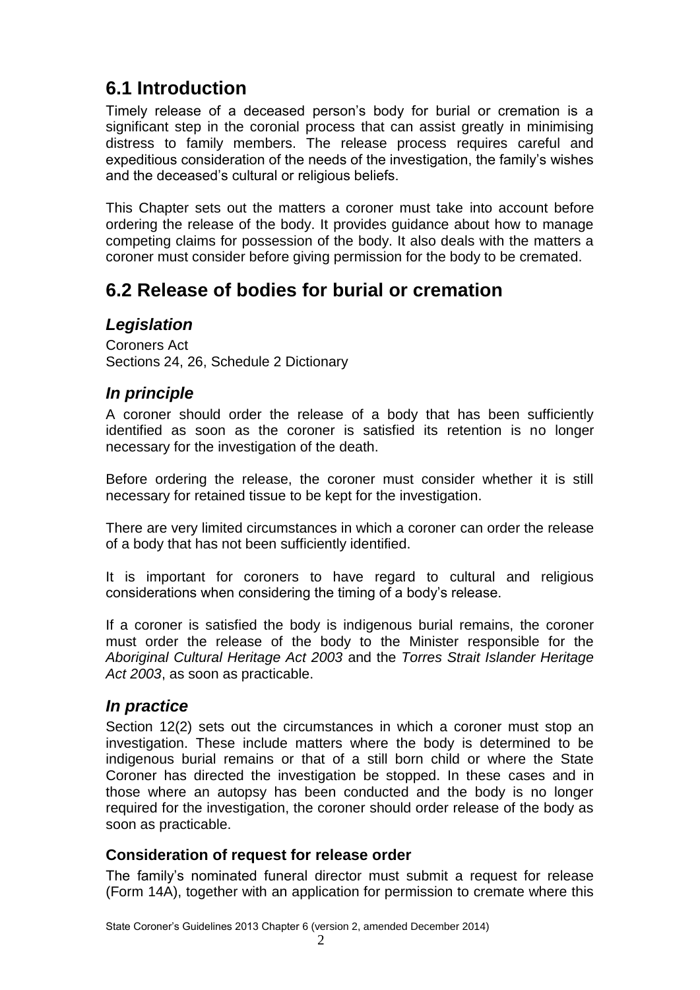# <span id="page-1-0"></span>**6.1 Introduction**

Timely release of a deceased person's body for burial or cremation is a significant step in the coronial process that can assist greatly in minimising distress to family members. The release process requires careful and expeditious consideration of the needs of the investigation, the family's wishes and the deceased's cultural or religious beliefs.

This Chapter sets out the matters a coroner must take into account before ordering the release of the body. It provides guidance about how to manage competing claims for possession of the body. It also deals with the matters a coroner must consider before giving permission for the body to be cremated.

## <span id="page-1-1"></span>**6.2 Release of bodies for burial or cremation**

## <span id="page-1-2"></span>*Legislation*

Coroners Act Sections 24, 26, Schedule 2 Dictionary

## <span id="page-1-3"></span>*In principle*

A coroner should order the release of a body that has been sufficiently identified as soon as the coroner is satisfied its retention is no longer necessary for the investigation of the death.

Before ordering the release, the coroner must consider whether it is still necessary for retained tissue to be kept for the investigation.

There are very limited circumstances in which a coroner can order the release of a body that has not been sufficiently identified.

It is important for coroners to have regard to cultural and religious considerations when considering the timing of a body's release.

If a coroner is satisfied the body is indigenous burial remains, the coroner must order the release of the body to the Minister responsible for the *Aboriginal Cultural Heritage Act 2003* and the *Torres Strait Islander Heritage Act 2003*, as soon as practicable.

## <span id="page-1-4"></span>*In practice*

Section 12(2) sets out the circumstances in which a coroner must stop an investigation. These include matters where the body is determined to be indigenous burial remains or that of a still born child or where the State Coroner has directed the investigation be stopped. In these cases and in those where an autopsy has been conducted and the body is no longer required for the investigation, the coroner should order release of the body as soon as practicable.

## <span id="page-1-5"></span>**Consideration of request for release order**

The family's nominated funeral director must submit a request for release (Form 14A), together with an application for permission to cremate where this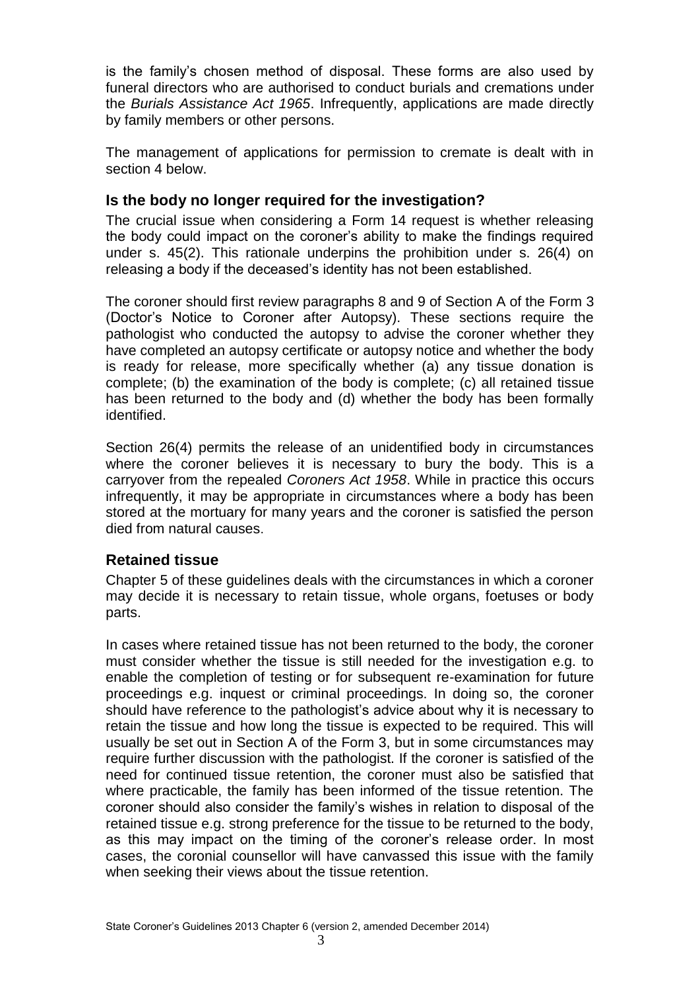is the family's chosen method of disposal. These forms are also used by funeral directors who are authorised to conduct burials and cremations under the *Burials Assistance Act 1965*. Infrequently, applications are made directly by family members or other persons.

The management of applications for permission to cremate is dealt with in section 4 below.

#### <span id="page-2-0"></span>**Is the body no longer required for the investigation?**

The crucial issue when considering a Form 14 request is whether releasing the body could impact on the coroner's ability to make the findings required under s. 45(2). This rationale underpins the prohibition under s. 26(4) on releasing a body if the deceased's identity has not been established.

The coroner should first review paragraphs 8 and 9 of Section A of the Form 3 (Doctor's Notice to Coroner after Autopsy). These sections require the pathologist who conducted the autopsy to advise the coroner whether they have completed an autopsy certificate or autopsy notice and whether the body is ready for release, more specifically whether (a) any tissue donation is complete; (b) the examination of the body is complete; (c) all retained tissue has been returned to the body and (d) whether the body has been formally identified.

Section 26(4) permits the release of an unidentified body in circumstances where the coroner believes it is necessary to bury the body. This is a carryover from the repealed *Coroners Act 1958*. While in practice this occurs infrequently, it may be appropriate in circumstances where a body has been stored at the mortuary for many years and the coroner is satisfied the person died from natural causes.

#### <span id="page-2-1"></span>**Retained tissue**

Chapter 5 of these guidelines deals with the circumstances in which a coroner may decide it is necessary to retain tissue, whole organs, foetuses or body parts.

In cases where retained tissue has not been returned to the body, the coroner must consider whether the tissue is still needed for the investigation e.g. to enable the completion of testing or for subsequent re-examination for future proceedings e.g. inquest or criminal proceedings. In doing so, the coroner should have reference to the pathologist's advice about why it is necessary to retain the tissue and how long the tissue is expected to be required. This will usually be set out in Section A of the Form 3, but in some circumstances may require further discussion with the pathologist. If the coroner is satisfied of the need for continued tissue retention, the coroner must also be satisfied that where practicable, the family has been informed of the tissue retention. The coroner should also consider the family's wishes in relation to disposal of the retained tissue e.g. strong preference for the tissue to be returned to the body, as this may impact on the timing of the coroner's release order. In most cases, the coronial counsellor will have canvassed this issue with the family when seeking their views about the tissue retention.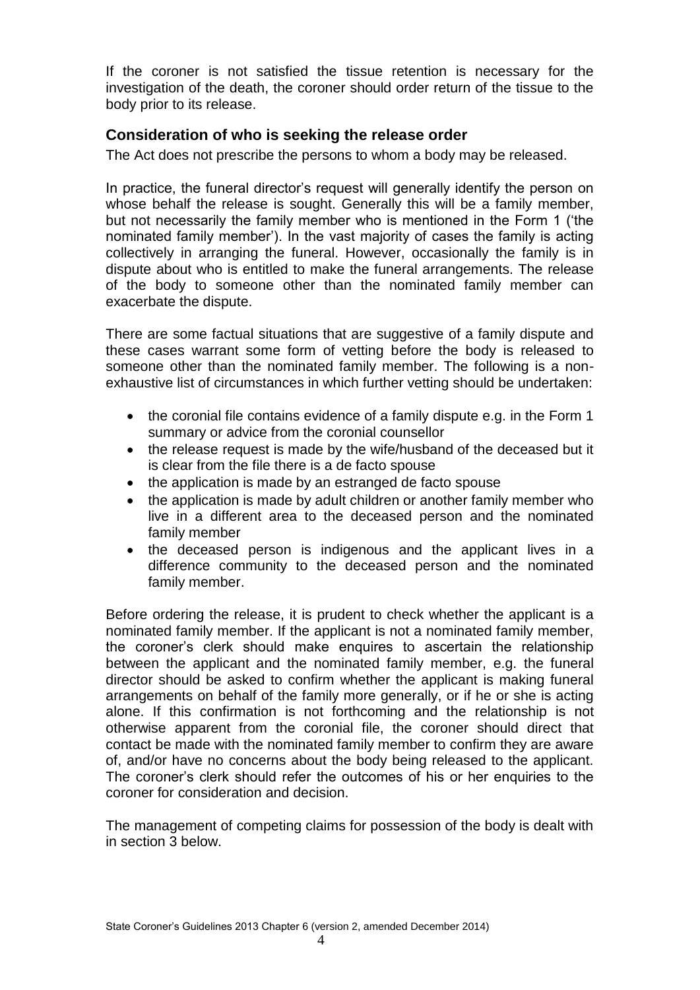If the coroner is not satisfied the tissue retention is necessary for the investigation of the death, the coroner should order return of the tissue to the body prior to its release.

#### <span id="page-3-0"></span>**Consideration of who is seeking the release order**

The Act does not prescribe the persons to whom a body may be released.

In practice, the funeral director's request will generally identify the person on whose behalf the release is sought. Generally this will be a family member, but not necessarily the family member who is mentioned in the Form 1 ('the nominated family member'). In the vast majority of cases the family is acting collectively in arranging the funeral. However, occasionally the family is in dispute about who is entitled to make the funeral arrangements. The release of the body to someone other than the nominated family member can exacerbate the dispute.

There are some factual situations that are suggestive of a family dispute and these cases warrant some form of vetting before the body is released to someone other than the nominated family member. The following is a nonexhaustive list of circumstances in which further vetting should be undertaken:

- the coronial file contains evidence of a family dispute e.g. in the Form 1 summary or advice from the coronial counsellor
- the release request is made by the wife/husband of the deceased but it is clear from the file there is a de facto spouse
- the application is made by an estranged de facto spouse
- the application is made by adult children or another family member who live in a different area to the deceased person and the nominated family member
- the deceased person is indigenous and the applicant lives in a difference community to the deceased person and the nominated family member.

Before ordering the release, it is prudent to check whether the applicant is a nominated family member. If the applicant is not a nominated family member, the coroner's clerk should make enquires to ascertain the relationship between the applicant and the nominated family member, e.g. the funeral director should be asked to confirm whether the applicant is making funeral arrangements on behalf of the family more generally, or if he or she is acting alone. If this confirmation is not forthcoming and the relationship is not otherwise apparent from the coronial file, the coroner should direct that contact be made with the nominated family member to confirm they are aware of, and/or have no concerns about the body being released to the applicant. The coroner's clerk should refer the outcomes of his or her enquiries to the coroner for consideration and decision.

The management of competing claims for possession of the body is dealt with in section 3 below.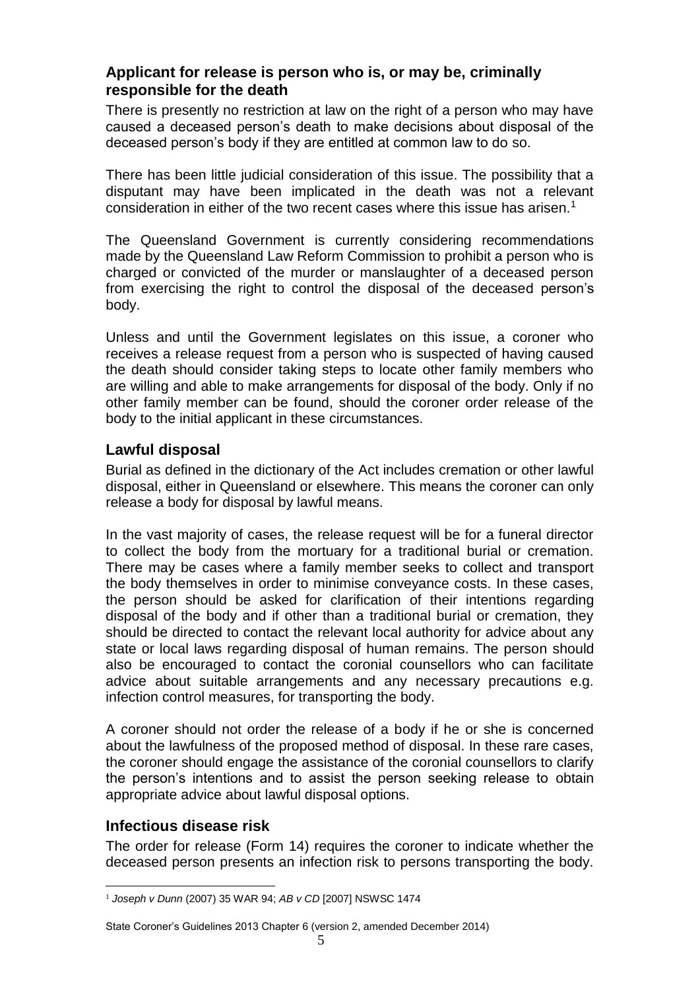#### <span id="page-4-0"></span>**Applicant for release is person who is, or may be, criminally responsible for the death**

There is presently no restriction at law on the right of a person who may have caused a deceased person's death to make decisions about disposal of the deceased person's body if they are entitled at common law to do so.

There has been little judicial consideration of this issue. The possibility that a disputant may have been implicated in the death was not a relevant consideration in either of the two recent cases where this issue has arisen.<sup>1</sup>

The Queensland Government is currently considering recommendations made by the Queensland Law Reform Commission to prohibit a person who is charged or convicted of the murder or manslaughter of a deceased person from exercising the right to control the disposal of the deceased person's body.

Unless and until the Government legislates on this issue, a coroner who receives a release request from a person who is suspected of having caused the death should consider taking steps to locate other family members who are willing and able to make arrangements for disposal of the body. Only if no other family member can be found, should the coroner order release of the body to the initial applicant in these circumstances.

#### <span id="page-4-1"></span>**Lawful disposal**

Burial as defined in the dictionary of the Act includes cremation or other lawful disposal, either in Queensland or elsewhere. This means the coroner can only release a body for disposal by lawful means.

In the vast majority of cases, the release request will be for a funeral director to collect the body from the mortuary for a traditional burial or cremation. There may be cases where a family member seeks to collect and transport the body themselves in order to minimise conveyance costs. In these cases, the person should be asked for clarification of their intentions regarding disposal of the body and if other than a traditional burial or cremation, they should be directed to contact the relevant local authority for advice about any state or local laws regarding disposal of human remains. The person should also be encouraged to contact the coronial counsellors who can facilitate advice about suitable arrangements and any necessary precautions e.g. infection control measures, for transporting the body.

A coroner should not order the release of a body if he or she is concerned about the lawfulness of the proposed method of disposal. In these rare cases, the coroner should engage the assistance of the coronial counsellors to clarify the person's intentions and to assist the person seeking release to obtain appropriate advice about lawful disposal options.

#### <span id="page-4-2"></span>**Infectious disease risk**

The order for release (Form 14) requires the coroner to indicate whether the deceased person presents an infection risk to persons transporting the body.

<sup>1</sup> <sup>1</sup> *Joseph v Dunn* (2007) 35 WAR 94; *AB v CD* [2007] NSWSC 1474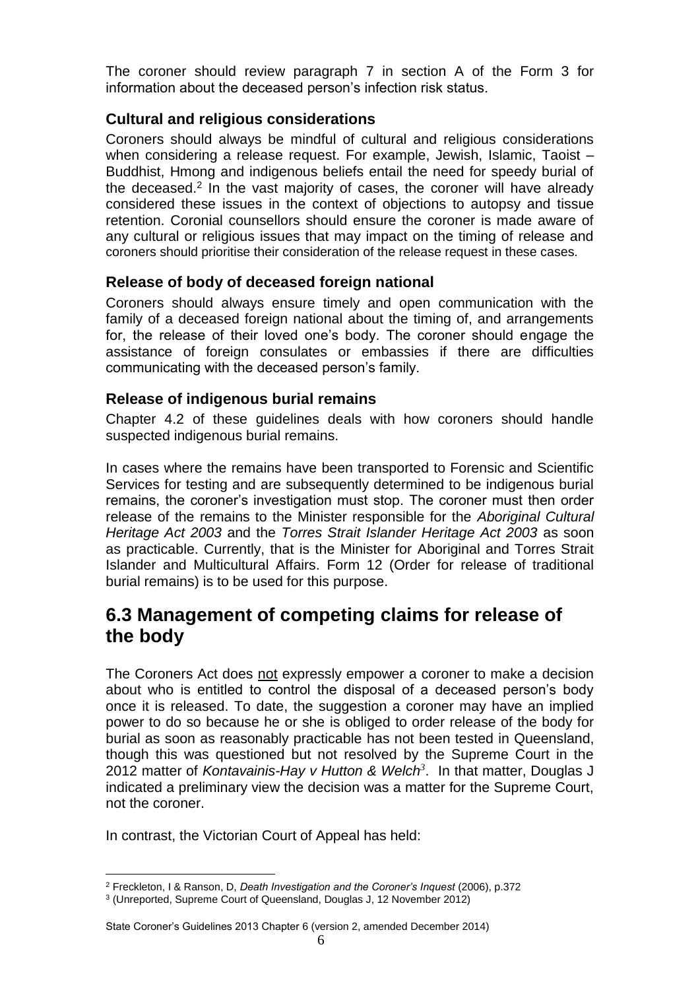The coroner should review paragraph 7 in section A of the Form 3 for information about the deceased person's infection risk status.

#### <span id="page-5-0"></span>**Cultural and religious considerations**

Coroners should always be mindful of cultural and religious considerations when considering a release request. For example, Jewish, Islamic, Taoist – Buddhist. Hmong and indigenous beliefs entail the need for speedy burial of the deceased.<sup>2</sup> In the vast majority of cases, the coroner will have already considered these issues in the context of objections to autopsy and tissue retention. Coronial counsellors should ensure the coroner is made aware of any cultural or religious issues that may impact on the timing of release and coroners should prioritise their consideration of the release request in these cases.

#### <span id="page-5-1"></span>**Release of body of deceased foreign national**

Coroners should always ensure timely and open communication with the family of a deceased foreign national about the timing of, and arrangements for, the release of their loved one's body. The coroner should engage the assistance of foreign consulates or embassies if there are difficulties communicating with the deceased person's family.

#### <span id="page-5-2"></span>**Release of indigenous burial remains**

Chapter 4.2 of these guidelines deals with how coroners should handle suspected indigenous burial remains.

In cases where the remains have been transported to Forensic and Scientific Services for testing and are subsequently determined to be indigenous burial remains, the coroner's investigation must stop. The coroner must then order release of the remains to the Minister responsible for the *Aboriginal Cultural Heritage Act 2003* and the *Torres Strait Islander Heritage Act 2003* as soon as practicable. Currently, that is the Minister for Aboriginal and Torres Strait Islander and Multicultural Affairs. Form 12 (Order for release of traditional burial remains) is to be used for this purpose.

## <span id="page-5-3"></span>**6.3 Management of competing claims for release of the body**

The Coroners Act does not expressly empower a coroner to make a decision about who is entitled to control the disposal of a deceased person's body once it is released. To date, the suggestion a coroner may have an implied power to do so because he or she is obliged to order release of the body for burial as soon as reasonably practicable has not been tested in Queensland, though this was questioned but not resolved by the Supreme Court in the 2012 matter of *Kontavainis-Hay v Hutton & Welch<sup>3</sup>* . In that matter, Douglas J indicated a preliminary view the decision was a matter for the Supreme Court, not the coroner.

In contrast, the Victorian Court of Appeal has held:

<sup>&</sup>lt;u>.</u> <sup>2</sup> Freckleton, I & Ranson, D, *Death Investigation and the Coroner's Inquest* (2006), p.372

<sup>3</sup> (Unreported, Supreme Court of Queensland, Douglas J, 12 November 2012)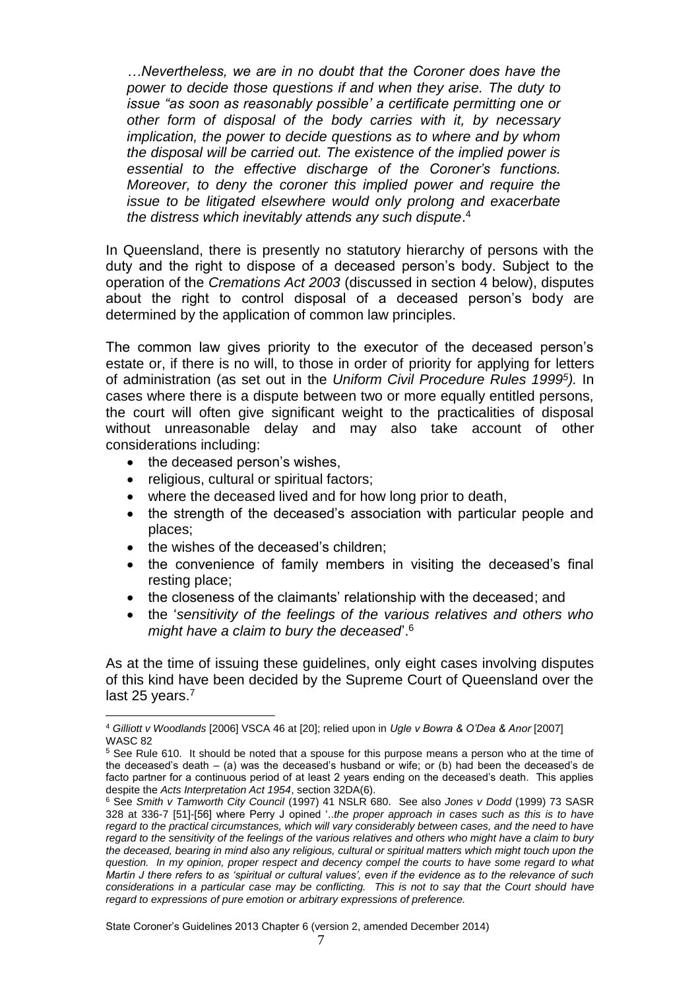*…Nevertheless, we are in no doubt that the Coroner does have the power to decide those questions if and when they arise. The duty to issue "as soon as reasonably possible' a certificate permitting one or other form of disposal of the body carries with it, by necessary implication, the power to decide questions as to where and by whom the disposal will be carried out. The existence of the implied power is essential to the effective discharge of the Coroner's functions. Moreover, to deny the coroner this implied power and require the issue to be litigated elsewhere would only prolong and exacerbate the distress which inevitably attends any such dispute*. 4

In Queensland, there is presently no statutory hierarchy of persons with the duty and the right to dispose of a deceased person's body. Subject to the operation of the *Cremations Act 2003* (discussed in section 4 below), disputes about the right to control disposal of a deceased person's body are determined by the application of common law principles.

The common law gives priority to the executor of the deceased person's estate or, if there is no will, to those in order of priority for applying for letters of administration (as set out in the *Uniform Civil Procedure Rules 1999<sup>5</sup> ).* In cases where there is a dispute between two or more equally entitled persons, the court will often give significant weight to the practicalities of disposal without unreasonable delay and may also take account of other considerations including:

• the deceased person's wishes,

<u>.</u>

- religious, cultural or spiritual factors;
- where the deceased lived and for how long prior to death,
- the strength of the deceased's association with particular people and places;
- the wishes of the deceased's children;
- the convenience of family members in visiting the deceased's final resting place;
- the closeness of the claimants' relationship with the deceased; and
- the '*sensitivity of the feelings of the various relatives and others who might have a claim to bury the deceased*'. 6

As at the time of issuing these guidelines, only eight cases involving disputes of this kind have been decided by the Supreme Court of Queensland over the last 25 years.<sup>7</sup>

State Coroner's Guidelines 2013 Chapter 6 (version 2, amended December 2014)

<sup>4</sup> *Gilliott v Woodlands* [2006] VSCA 46 at [20]; relied upon in *Ugle v Bowra & O'Dea & Anor* [2007] WASC 82

<sup>&</sup>lt;sup>5</sup> See Rule 610. It should be noted that a spouse for this purpose means a person who at the time of the deceased's death – (a) was the deceased's husband or wife; or (b) had been the deceased's de facto partner for a continuous period of at least 2 years ending on the deceased's death. This applies despite the *Acts Interpretation Act 1954*, section 32DA(6).

<sup>6</sup> See *Smith v Tamworth City Council* (1997) 41 NSLR 680. See also *Jones v Dodd* (1999) 73 SASR 328 at 336-7 [51]-[56] where Perry J opined '..*the proper approach in cases such as this is to have regard to the practical circumstances, which will vary considerably between cases, and the need to have regard to the sensitivity of the feelings of the various relatives and others who might have a claim to bury the deceased, bearing in mind also any religious, cultural or spiritual matters which might touch upon the question. In my opinion, proper respect and decency compel the courts to have some regard to what Martin J there refers to as 'spiritual or cultural values', even if the evidence as to the relevance of such considerations in a particular case may be conflicting. This is not to say that the Court should have regard to expressions of pure emotion or arbitrary expressions of preference.*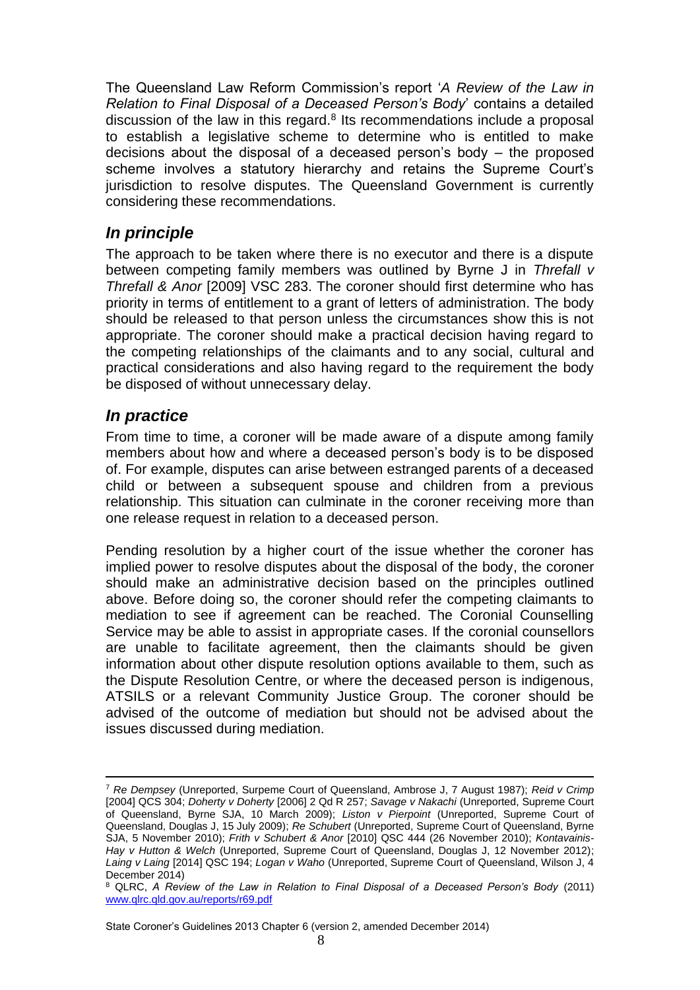The Queensland Law Reform Commission's report '*A Review of the Law in Relation to Final Disposal of a Deceased Person's Body*' contains a detailed discussion of the law in this regard. $8$  Its recommendations include a proposal to establish a legislative scheme to determine who is entitled to make decisions about the disposal of a deceased person's body – the proposed scheme involves a statutory hierarchy and retains the Supreme Court's jurisdiction to resolve disputes. The Queensland Government is currently considering these recommendations.

#### <span id="page-7-0"></span>*In principle*

The approach to be taken where there is no executor and there is a dispute between competing family members was outlined by Byrne J in *Threfall v Threfall & Anor* [2009] VSC 283. The coroner should first determine who has priority in terms of entitlement to a grant of letters of administration. The body should be released to that person unless the circumstances show this is not appropriate. The coroner should make a practical decision having regard to the competing relationships of the claimants and to any social, cultural and practical considerations and also having regard to the requirement the body be disposed of without unnecessary delay.

#### <span id="page-7-1"></span>*In practice*

<u>.</u>

From time to time, a coroner will be made aware of a dispute among family members about how and where a deceased person's body is to be disposed of. For example, disputes can arise between estranged parents of a deceased child or between a subsequent spouse and children from a previous relationship. This situation can culminate in the coroner receiving more than one release request in relation to a deceased person.

Pending resolution by a higher court of the issue whether the coroner has implied power to resolve disputes about the disposal of the body, the coroner should make an administrative decision based on the principles outlined above. Before doing so, the coroner should refer the competing claimants to mediation to see if agreement can be reached. The Coronial Counselling Service may be able to assist in appropriate cases. If the coronial counsellors are unable to facilitate agreement, then the claimants should be given information about other dispute resolution options available to them, such as the Dispute Resolution Centre, or where the deceased person is indigenous, ATSILS or a relevant Community Justice Group. The coroner should be advised of the outcome of mediation but should not be advised about the issues discussed during mediation.

State Coroner's Guidelines 2013 Chapter 6 (version 2, amended December 2014)

<sup>7</sup> *Re Dempsey* (Unreported, Surpeme Court of Queensland, Ambrose J, 7 August 1987); *Reid v Crimp* [2004] QCS 304; *Doherty v Doherty* [2006] 2 Qd R 257; *Savage v Nakachi* (Unreported, Supreme Court of Queensland, Byrne SJA, 10 March 2009); *Liston v Pierpoint* (Unreported, Supreme Court of Queensland, Douglas J, 15 July 2009); *Re Schubert* (Unreported, Supreme Court of Queensland, Byrne SJA, 5 November 2010); *Frith v Schubert & Anor* [2010] QSC 444 (26 November 2010); *Kontavainis-Hay v Hutton & Welch* (Unreported, Supreme Court of Queensland, Douglas J, 12 November 2012); *Laing v Laing* [2014] QSC 194; *Logan v Waho* (Unreported, Supreme Court of Queensland, Wilson J, 4 December 2014)

<sup>8</sup> QLRC, *A Review of the Law in Relation to Final Disposal of a Deceased Person's Body* (2011) [www.qlrc.qld.gov.au/reports/r69.pdf](http://www.qlrc.qld.gov.au/reports/r69.pdf)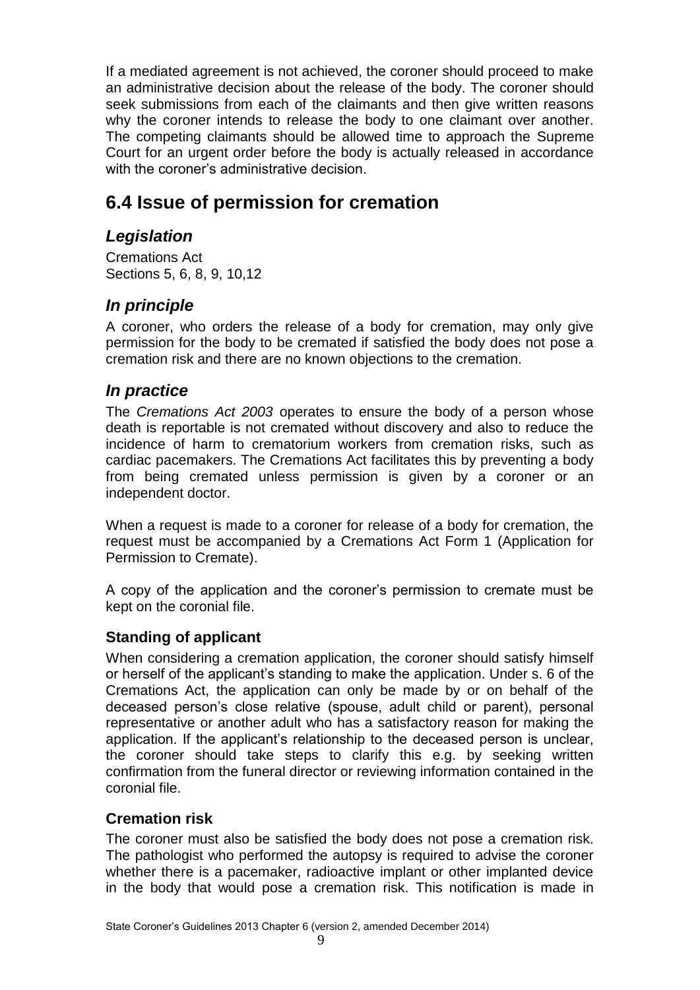If a mediated agreement is not achieved, the coroner should proceed to make an administrative decision about the release of the body. The coroner should seek submissions from each of the claimants and then give written reasons why the coroner intends to release the body to one claimant over another. The competing claimants should be allowed time to approach the Supreme Court for an urgent order before the body is actually released in accordance with the coroner's administrative decision.

## <span id="page-8-0"></span>**6.4 Issue of permission for cremation**

## <span id="page-8-1"></span>*Legislation*

Cremations Act Sections 5, 6, 8, 9, 10,12

## <span id="page-8-2"></span>*In principle*

A coroner, who orders the release of a body for cremation, may only give permission for the body to be cremated if satisfied the body does not pose a cremation risk and there are no known objections to the cremation.

## <span id="page-8-3"></span>*In practice*

The *Cremations Act 2003* operates to ensure the body of a person whose death is reportable is not cremated without discovery and also to reduce the incidence of harm to crematorium workers from cremation risks, such as cardiac pacemakers. The Cremations Act facilitates this by preventing a body from being cremated unless permission is given by a coroner or an independent doctor.

When a request is made to a coroner for release of a body for cremation, the request must be accompanied by a Cremations Act Form 1 (Application for Permission to Cremate).

A copy of the application and the coroner's permission to cremate must be kept on the coronial file.

## <span id="page-8-4"></span>**Standing of applicant**

When considering a cremation application, the coroner should satisfy himself or herself of the applicant's standing to make the application. Under s. 6 of the Cremations Act, the application can only be made by or on behalf of the deceased person's close relative (spouse, adult child or parent), personal representative or another adult who has a satisfactory reason for making the application. If the applicant's relationship to the deceased person is unclear, the coroner should take steps to clarify this e.g. by seeking written confirmation from the funeral director or reviewing information contained in the coronial file.

## <span id="page-8-5"></span>**Cremation risk**

The coroner must also be satisfied the body does not pose a cremation risk. The pathologist who performed the autopsy is required to advise the coroner whether there is a pacemaker, radioactive implant or other implanted device in the body that would pose a cremation risk. This notification is made in